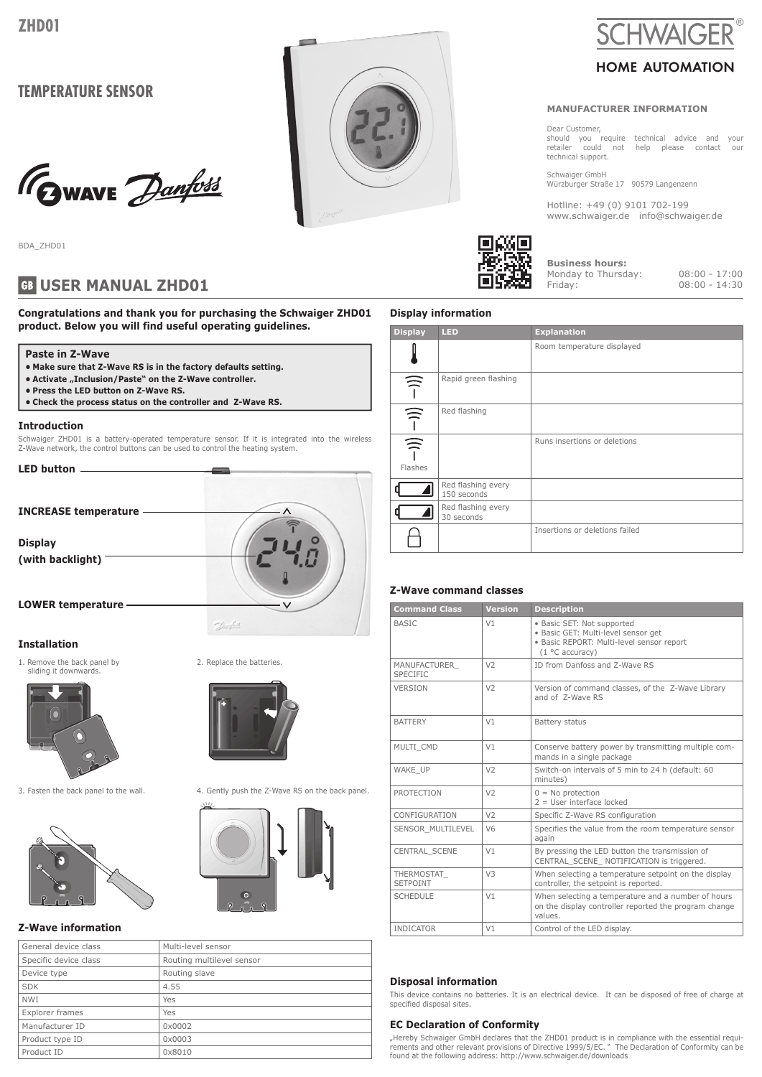# TEMPERATURE SENSOR



BDA\_ZHD01

# **GB USER MANUAL ZHD01**

**Congratulations and thank you for purchasing the Schwaiger ZHD01 product. Below you will find useful operating guidelines.**

### **Paste in Z-Wave**

- **Make sure that Z-Wave RS is in the factory defaults setting.**
- **Activate "Inclusion/Paste" on the Z-Wave controller.**
- **Press the LED button on Z-Wave RS.**
- **Check the process status on the controller and Z-Wave RS.**

#### **Introduction**

Schwaiger ZHD01 is a battery-operated temperature sensor. If it is integrated into the wireless Z-Wave network, the control buttons can be used to control the heating system.



#### **Installation**



3. Fasten the back panel to the wall.



# **Z-Wave information**

| General device class  | Multi-level sensor        |
|-----------------------|---------------------------|
| Specific device class | Routing multilevel sensor |
| Device type           | Routing slave             |
| <b>SDK</b>            | 4.55                      |
| <b>NWI</b>            | Yes                       |
| Explorer frames       | Yes                       |
| Manufacturer ID       | $0 \times 0002$           |
| Product type ID       | 0x0003                    |
| Product ID            | 0x8010                    |





# HOME AUTOMATION

# **MANUFACTURER INFORMATION**

Dear Customer, should you require technical advice and your retailer could not help please contact our technical support.

Schwaiger GmbH Würzburger Straße 17 90579 Langenzenn

Hotline: +49 (0) 9101 702-199 www.schwaiger.de info@schwaiger.de



**Business hours:** Monday to Thursday: 08:00 - 17:00<br>Friday: 08:00 - 14:30

 $08:00 - 14:30$ 

#### **Display information**

| <b>Display</b>                     | <b>LED</b>                        | <b>Explanation</b>             |
|------------------------------------|-----------------------------------|--------------------------------|
|                                    |                                   | Room temperature displayed     |
| $\widehat{=}$                      | Rapid green flashing              |                                |
| $\widehat{\mathcal{L}}$            | Red flashing                      |                                |
| $\widehat{\mathcal{L}}$<br>Flashes |                                   | Runs insertions or deletions   |
|                                    | Red flashing every<br>150 seconds |                                |
|                                    | Red flashing every<br>30 seconds  |                                |
|                                    |                                   | Insertions or deletions failed |

### **Z-Wave command classes**

| <b>Command Class</b>            | <b>Version</b> | <b>Description</b>                                                                                                                |  |
|---------------------------------|----------------|-----------------------------------------------------------------------------------------------------------------------------------|--|
| <b>BASIC</b>                    | V1             | · Basic SET: Not supported<br>· Basic GET: Multi-level sensor get<br>· Basic REPORT: Multi-level sensor report<br>(1 °C accuracy) |  |
| MANUFACTURER<br><b>SPECIFIC</b> | V <sub>2</sub> | ID from Danfoss and Z-Wave RS                                                                                                     |  |
| <b>VERSION</b>                  | V <sub>2</sub> | Version of command classes, of the Z-Wave Library<br>and of Z-Wave RS                                                             |  |
| <b>BATTERY</b>                  | V <sub>1</sub> | Battery status                                                                                                                    |  |
| MULTI CMD                       | V1             | Conserve battery power by transmitting multiple com-<br>mands in a single package                                                 |  |
| WAKE UP                         | V <sub>2</sub> | Switch-on intervals of 5 min to 24 h (default: 60<br>minutes)                                                                     |  |
| <b>PROTECTION</b>               | V <sub>2</sub> | $0 = No$ protection<br>$2 =$ User interface locked                                                                                |  |
| CONFIGURATION                   | V <sub>2</sub> | Specific Z-Wave RS configuration                                                                                                  |  |
| <b>SENSOR MULTILEVEL</b>        | V <sub>6</sub> | Specifies the value from the room temperature sensor<br>again                                                                     |  |
| CENTRAL_SCENE                   | V1             | By pressing the LED button the transmission of<br>CENTRAL SCENE NOTIFICATION is triggered.                                        |  |
| THERMOSTAT<br><b>SETPOINT</b>   | V <sup>3</sup> | When selecting a temperature setpoint on the display<br>controller, the setpoint is reported.                                     |  |
| <b>SCHEDULE</b>                 | V1             | When selecting a temperature and a number of hours<br>on the display controller reported the program change<br>values.            |  |
| <b>INDICATOR</b>                | V1             | Control of the LED display.                                                                                                       |  |

### **Disposal information**

This device contains no batteries. It is an electrical device. It can be disposed of free of charge at specified disposal sites.

#### **EC Declaration of Conformity**

"Hereby Schwaiger GmbH declares that the ZHD01 product is in compliance with the essential requi-<br>rements and other relevant provisions of Directive 1999/5/EC. " The Declaration of Conformity can be<br>found at the following



 $\mathcal{D}_{m}$ 

1. Remove the back panel by sliding it downwards.



4. Gently push the Z-Wave RS on the back panel.